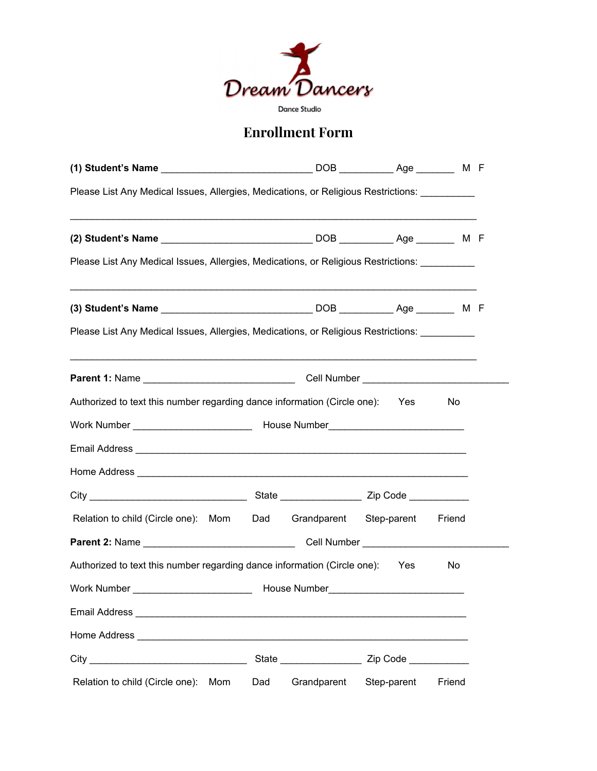

## **Enrollment Form**

| Please List Any Medical Issues, Allergies, Medications, or Religious Restrictions:                                                                                                                                                  |     |             |             |        |  |
|-------------------------------------------------------------------------------------------------------------------------------------------------------------------------------------------------------------------------------------|-----|-------------|-------------|--------|--|
|                                                                                                                                                                                                                                     |     |             |             |        |  |
| Please List Any Medical Issues, Allergies, Medications, or Religious Restrictions: __________                                                                                                                                       |     |             |             |        |  |
| ,我们也不能在这里的人,我们也不能在这里的人,我们也不能在这里的人,我们也不能在这里的人,我们也不能在这里的人,我们也不能在这里的人,我们也不能在这里的人,我们也                                                                                                                                                   |     |             |             |        |  |
| Please List Any Medical Issues, Allergies, Medications, or Religious Restrictions: University Medical                                                                                                                               |     |             |             |        |  |
|                                                                                                                                                                                                                                     |     |             |             |        |  |
| Authorized to text this number regarding dance information (Circle one): Yes                                                                                                                                                        |     |             |             | No.    |  |
|                                                                                                                                                                                                                                     |     |             |             |        |  |
|                                                                                                                                                                                                                                     |     |             |             |        |  |
|                                                                                                                                                                                                                                     |     |             |             |        |  |
|                                                                                                                                                                                                                                     |     |             |             |        |  |
| Relation to child (Circle one): Mom  Dad  Grandparent  Step-parent  Friend                                                                                                                                                          |     |             |             |        |  |
|                                                                                                                                                                                                                                     |     |             |             |        |  |
| Authorized to text this number regarding dance information (Circle one): Yes                                                                                                                                                        |     |             |             | No     |  |
|                                                                                                                                                                                                                                     |     |             |             |        |  |
| Email Address <b>Email Address</b>                                                                                                                                                                                                  |     |             |             |        |  |
| Home Address <b>Manual Address</b> New York 1980 and 1990 and 1990 and 1990 and 1990 and 1990 and 1990 and 1990 and 1990 and 1990 and 1990 and 1990 and 1990 and 1990 and 1990 and 1990 and 1990 and 1990 and 1990 and 1990 and 199 |     |             |             |        |  |
|                                                                                                                                                                                                                                     |     |             |             |        |  |
| Relation to child (Circle one):<br>Mom                                                                                                                                                                                              | Dad | Grandparent | Step-parent | Friend |  |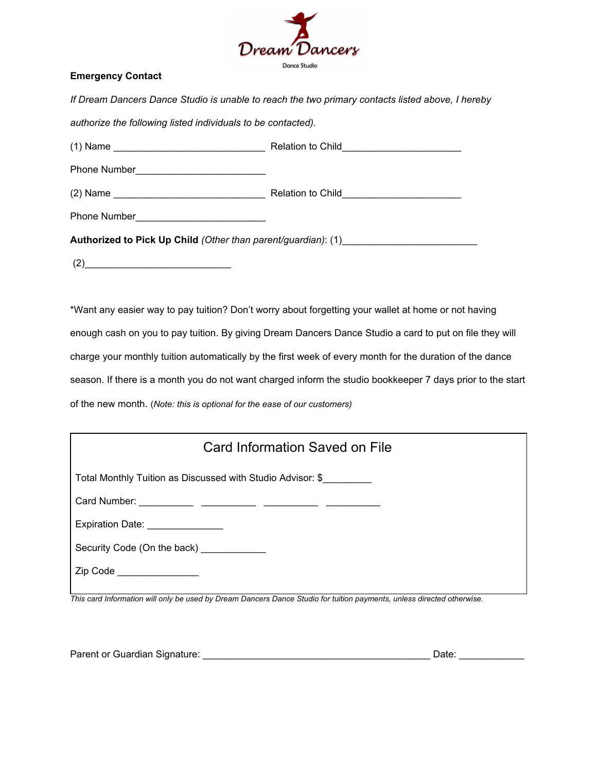

## **Emergency Contact**

*If Dream Dancers Dance Studio is unable to reach the two primary contacts listed above, I hereby*

*authorize the following listed individuals to be contacted).*

|                                                                                  | Relation to Child_____________________________ |  |  |  |
|----------------------------------------------------------------------------------|------------------------------------------------|--|--|--|
|                                                                                  |                                                |  |  |  |
|                                                                                  | Relation to Child____________________________  |  |  |  |
|                                                                                  |                                                |  |  |  |
| Authorized to Pick Up Child (Other than parent/guardian): (1)___________________ |                                                |  |  |  |
| (2)                                                                              |                                                |  |  |  |

\*Want any easier way to pay tuition? Don't worry about forgetting your wallet at home or not having enough cash on you to pay tuition. By giving Dream Dancers Dance Studio a card to put on file they will charge your monthly tuition automatically by the first week of every month for the duration of the dance season. If there is a month you do not want charged inform the studio bookkeeper 7 days prior to the start of the new month. (*Note: this is optional for the ease of our customers)*

| Card Information Saved on File                             |  |  |  |  |
|------------------------------------------------------------|--|--|--|--|
| Total Monthly Tuition as Discussed with Studio Advisor: \$ |  |  |  |  |
|                                                            |  |  |  |  |
| Expiration Date: _______________                           |  |  |  |  |
| Security Code (On the back) ____________                   |  |  |  |  |
| Zip Code _________________                                 |  |  |  |  |

This card Information will only be used by Dream Dancers Dance Studio for tuition payments, unless directed otherwise.

| Parent or Guardian Signature: |  | Date: |  |
|-------------------------------|--|-------|--|
|-------------------------------|--|-------|--|